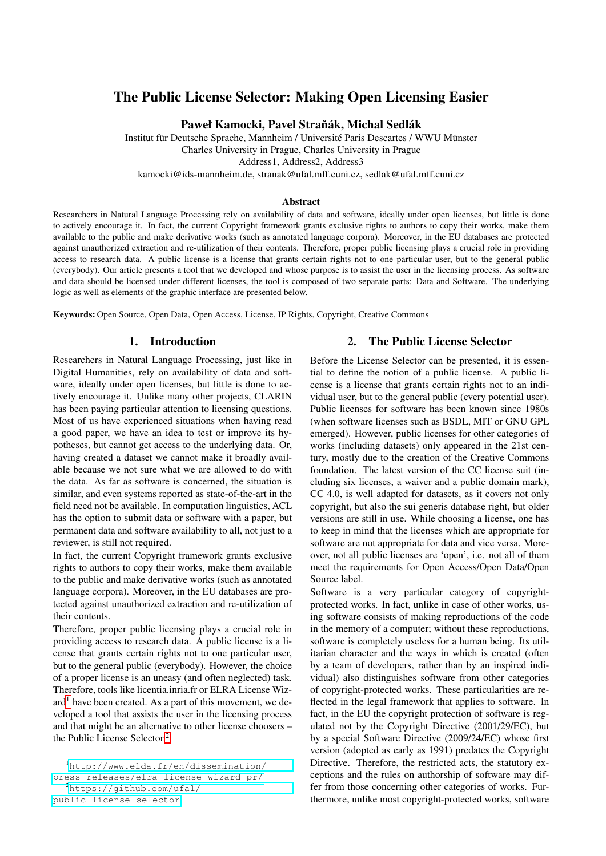# The Public License Selector: Making Open Licensing Easier

Paweł Kamocki, Pavel Straňák, Michal Sedlák

Institut für Deutsche Sprache, Mannheim / Université Paris Descartes / WWU Münster Charles University in Prague, Charles University in Prague Address1, Address2, Address3 kamocki@ids-mannheim.de, stranak@ufal.mff.cuni.cz, sedlak@ufal.mff.cuni.cz

#### Abstract

Researchers in Natural Language Processing rely on availability of data and software, ideally under open licenses, but little is done to actively encourage it. In fact, the current Copyright framework grants exclusive rights to authors to copy their works, make them available to the public and make derivative works (such as annotated language corpora). Moreover, in the EU databases are protected against unauthorized extraction and re-utilization of their contents. Therefore, proper public licensing plays a crucial role in providing access to research data. A public license is a license that grants certain rights not to one particular user, but to the general public (everybody). Our article presents a tool that we developed and whose purpose is to assist the user in the licensing process. As software and data should be licensed under different licenses, the tool is composed of two separate parts: Data and Software. The underlying logic as well as elements of the graphic interface are presented below.

Keywords: Open Source, Open Data, Open Access, License, IP Rights, Copyright, Creative Commons

## 1. Introduction

Researchers in Natural Language Processing, just like in Digital Humanities, rely on availability of data and software, ideally under open licenses, but little is done to actively encourage it. Unlike many other projects, CLARIN has been paying particular attention to licensing questions. Most of us have experienced situations when having read a good paper, we have an idea to test or improve its hypotheses, but cannot get access to the underlying data. Or, having created a dataset we cannot make it broadly available because we not sure what we are allowed to do with the data. As far as software is concerned, the situation is similar, and even systems reported as state-of-the-art in the field need not be available. In computation linguistics, ACL has the option to submit data or software with a paper, but permanent data and software availability to all, not just to a reviewer, is still not required.

In fact, the current Copyright framework grants exclusive rights to authors to copy their works, make them available to the public and make derivative works (such as annotated language corpora). Moreover, in the EU databases are protected against unauthorized extraction and re-utilization of their contents.

Therefore, proper public licensing plays a crucial role in providing access to research data. A public license is a license that grants certain rights not to one particular user, but to the general public (everybody). However, the choice of a proper license is an uneasy (and often neglected) task. Therefore, tools like licentia.inria.fr or ELRA License Wiz- $\text{ard}^1$  $\text{ard}^1$  have been created. As a part of this movement, we developed a tool that assists the user in the licensing process and that might be an alternative to other license choosers – the Public License Selector.[2](#page-0-1)

## 2. The Public License Selector

<span id="page-0-2"></span>Before the License Selector can be presented, it is essential to define the notion of a public license. A public license is a license that grants certain rights not to an individual user, but to the general public (every potential user). Public licenses for software has been known since 1980s (when software licenses such as BSDL, MIT or GNU GPL emerged). However, public licenses for other categories of works (including datasets) only appeared in the 21st century, mostly due to the creation of the Creative Commons foundation. The latest version of the CC license suit (including six licenses, a waiver and a public domain mark), CC 4.0, is well adapted for datasets, as it covers not only copyright, but also the sui generis database right, but older versions are still in use. While choosing a license, one has to keep in mind that the licenses which are appropriate for software are not appropriate for data and vice versa. Moreover, not all public licenses are 'open', i.e. not all of them meet the requirements for Open Access/Open Data/Open Source label.

Software is a very particular category of copyrightprotected works. In fact, unlike in case of other works, using software consists of making reproductions of the code in the memory of a computer; without these reproductions, software is completely useless for a human being. Its utilitarian character and the ways in which is created (often by a team of developers, rather than by an inspired individual) also distinguishes software from other categories of copyright-protected works. These particularities are reflected in the legal framework that applies to software. In fact, in the EU the copyright protection of software is regulated not by the Copyright Directive (2001/29/EC), but by a special Software Directive (2009/24/EC) whose first version (adopted as early as 1991) predates the Copyright Directive. Therefore, the restricted acts, the statutory exceptions and the rules on authorship of software may differ from those concerning other categories of works. Furthermore, unlike most copyright-protected works, software

<span id="page-0-0"></span><sup>1</sup>[http://www.elda.fr/en/dissemination/](http://www.elda.fr/en/dissemination/press-releases/elra-license-wizard-pr/) [press-releases/elra-license-wizard-pr/](http://www.elda.fr/en/dissemination/press-releases/elra-license-wizard-pr/) <sup>2</sup>[https://github.com/ufal/](https://github.com/ufal/public-license-selector)

<span id="page-0-1"></span>[public-license-selector](https://github.com/ufal/public-license-selector)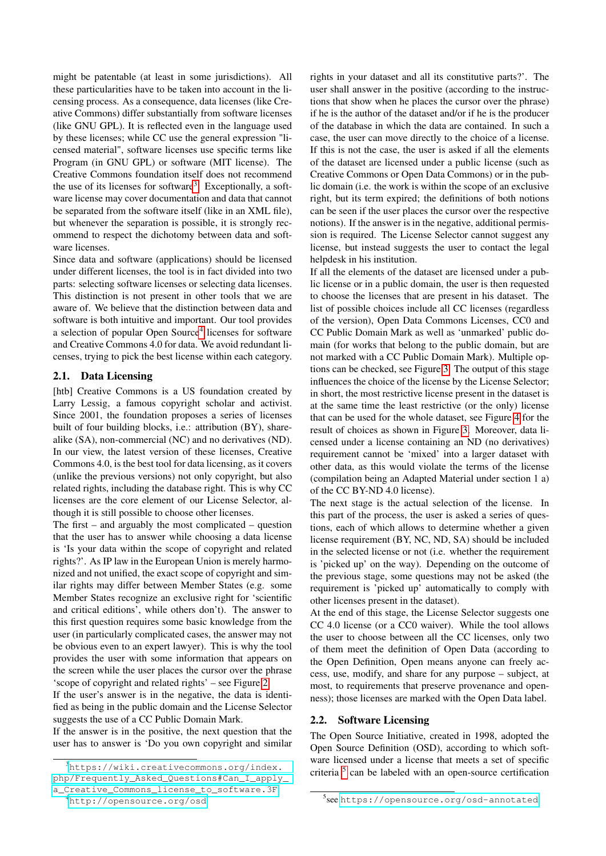might be patentable (at least in some jurisdictions). All these particularities have to be taken into account in the licensing process. As a consequence, data licenses (like Creative Commons) differ substantially from software licenses (like GNU GPL). It is reflected even in the language used by these licenses; while CC use the general expression "licensed material", software licenses use specific terms like Program (in GNU GPL) or software (MIT license). The Creative Commons foundation itself does not recommend the use of its licenses for software<sup>[3](#page-1-0)</sup>. Exceptionally, a software license may cover documentation and data that cannot be separated from the software itself (like in an XML file), but whenever the separation is possible, it is strongly recommend to respect the dichotomy between data and software licenses.

Since data and software (applications) should be licensed under different licenses, the tool is in fact divided into two parts: selecting software licenses or selecting data licenses. This distinction is not present in other tools that we are aware of. We believe that the distinction between data and software is both intuitive and important. Our tool provides a selection of popular Open Source<sup>[4](#page-1-1)</sup> licenses for software and Creative Commons 4.0 for data. We avoid redundant licenses, trying to pick the best license within each category.

## 2.1. Data Licensing

[htb] Creative Commons is a US foundation created by Larry Lessig, a famous copyright scholar and activist. Since 2001, the foundation proposes a series of licenses built of four building blocks, i.e.: attribution (BY), sharealike (SA), non-commercial (NC) and no derivatives (ND). In our view, the latest version of these licenses, Creative Commons 4.0, is the best tool for data licensing, as it covers (unlike the previous versions) not only copyright, but also related rights, including the database right. This is why CC licenses are the core element of our License Selector, although it is still possible to choose other licenses.

The first  $-$  and arguably the most complicated  $-$  question that the user has to answer while choosing a data license is 'Is your data within the scope of copyright and related rights?'. As IP law in the European Union is merely harmonized and not unified, the exact scope of copyright and similar rights may differ between Member States (e.g. some Member States recognize an exclusive right for 'scientific and critical editions', while others don't). The answer to this first question requires some basic knowledge from the user (in particularly complicated cases, the answer may not be obvious even to an expert lawyer). This is why the tool provides the user with some information that appears on the screen while the user places the cursor over the phrase 'scope of copyright and related rights' – see Figure [2.](#page-3-0)

If the user's answer is in the negative, the data is identified as being in the public domain and the License Selector suggests the use of a CC Public Domain Mark.

If the answer is in the positive, the next question that the user has to answer is 'Do you own copyright and similar rights in your dataset and all its constitutive parts?'. The user shall answer in the positive (according to the instructions that show when he places the cursor over the phrase) if he is the author of the dataset and/or if he is the producer of the database in which the data are contained. In such a case, the user can move directly to the choice of a license. If this is not the case, the user is asked if all the elements of the dataset are licensed under a public license (such as Creative Commons or Open Data Commons) or in the public domain (i.e. the work is within the scope of an exclusive right, but its term expired; the definitions of both notions can be seen if the user places the cursor over the respective notions). If the answer is in the negative, additional permission is required. The License Selector cannot suggest any license, but instead suggests the user to contact the legal helpdesk in his institution.

If all the elements of the dataset are licensed under a public license or in a public domain, the user is then requested to choose the licenses that are present in his dataset. The list of possible choices include all CC licenses (regardless of the version), Open Data Commons Licenses, CC0 and CC Public Domain Mark as well as 'unmarked' public domain (for works that belong to the public domain, but are not marked with a CC Public Domain Mark). Multiple options can be checked, see Figure [3.](#page-4-0) The output of this stage influences the choice of the license by the License Selector; in short, the most restrictive license present in the dataset is at the same time the least restrictive (or the only) license that can be used for the whole dataset, see Figure [4](#page-4-1) for the result of choices as shown in Figure [3.](#page-4-0) Moreover, data licensed under a license containing an ND (no derivatives) requirement cannot be 'mixed' into a larger dataset with other data, as this would violate the terms of the license (compilation being an Adapted Material under section 1 a) of the CC BY-ND 4.0 license).

The next stage is the actual selection of the license. In this part of the process, the user is asked a series of questions, each of which allows to determine whether a given license requirement (BY, NC, ND, SA) should be included in the selected license or not (i.e. whether the requirement is 'picked up' on the way). Depending on the outcome of the previous stage, some questions may not be asked (the requirement is 'picked up' automatically to comply with other licenses present in the dataset).

At the end of this stage, the License Selector suggests one CC 4.0 license (or a CC0 waiver). While the tool allows the user to choose between all the CC licenses, only two of them meet the definition of Open Data (according to the Open Definition, Open means anyone can freely access, use, modify, and share for any purpose – subject, at most, to requirements that preserve provenance and openness); those licenses are marked with the Open Data label.

#### <span id="page-1-3"></span>2.2. Software Licensing

The Open Source Initiative, created in 1998, adopted the Open Source Definition (OSD), according to which software licensed under a license that meets a set of specific criteria [5](#page-1-2) can be labeled with an open-source certification

<span id="page-1-0"></span><sup>3</sup>[https://wiki.creativecommons.org/index.](https://wiki.creativecommons.org/index.php/Frequently_Asked_Questions#Can_I_apply_a_Creative_Commons_license_to_software.3F) [php/Frequently\\_Asked\\_Questions#Can\\_I\\_apply\\_](https://wiki.creativecommons.org/index.php/Frequently_Asked_Questions#Can_I_apply_a_Creative_Commons_license_to_software.3F) [a\\_Creative\\_Commons\\_license\\_to\\_software.3F](https://wiki.creativecommons.org/index.php/Frequently_Asked_Questions#Can_I_apply_a_Creative_Commons_license_to_software.3F)

<span id="page-1-1"></span><sup>4</sup><http://opensource.org/osd>

<span id="page-1-2"></span><sup>5</sup> see <https://opensource.org/osd-annotated>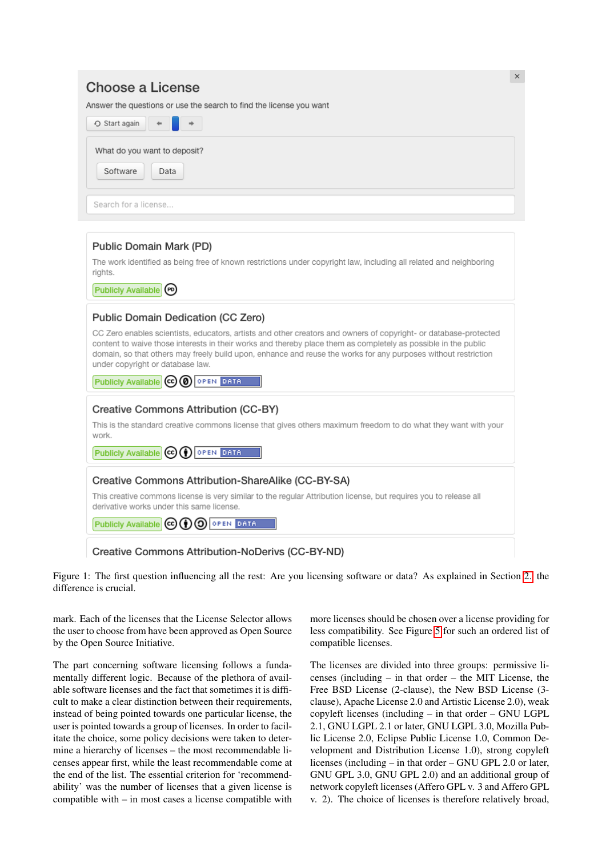# $\times$ Choose a License Answer the questions or use the search to find the license you want ○ Start again What do you want to deposit? Software Data Search for a license... Public Domain Mark (PD) The work identified as being free of known restrictions under copyright law, including all related and neighboring rights. Publicly Available (PD) Public Domain Dedication (CC Zero) CC Zero enables scientists, educators, artists and other creators and owners of copyright- or database-protected content to waive those interests in their works and thereby place them as completely as possible in the public domain, so that others may freely build upon, enhance and reuse the works for any purposes without restriction under copyright or database law. Publicly Available **CC @** OPEN DATA Creative Commons Attribution (CC-BY) This is the standard creative commons license that gives others maximum freedom to do what they want with your work Publicly Available CO (1) OPEN DATA Creative Commons Attribution-ShareAlike (CC-BY-SA) This creative commons license is very similar to the regular Attribution license, but requires you to release all derivative works under this same license. Publicly Available CO (1) O OPEN DATA Creative Commons Attribution-NoDerivs (CC-BY-ND)

Figure 1: The first question influencing all the rest: Are you licensing software or data? As explained in Section [2.](#page-0-2) the difference is crucial.

mark. Each of the licenses that the License Selector allows the user to choose from have been approved as Open Source by the Open Source Initiative.

The part concerning software licensing follows a fundamentally different logic. Because of the plethora of available software licenses and the fact that sometimes it is difficult to make a clear distinction between their requirements, instead of being pointed towards one particular license, the user is pointed towards a group of licenses. In order to facilitate the choice, some policy decisions were taken to determine a hierarchy of licenses – the most recommendable licenses appear first, while the least recommendable come at the end of the list. The essential criterion for 'recommendability' was the number of licenses that a given license is compatible with – in most cases a license compatible with

more licenses should be chosen over a license providing for less compatibility. See Figure [5](#page-5-0) for such an ordered list of compatible licenses.

The licenses are divided into three groups: permissive licenses (including – in that order – the MIT License, the Free BSD License (2-clause), the New BSD License (3 clause), Apache License 2.0 and Artistic License 2.0), weak copyleft licenses (including – in that order – GNU LGPL 2.1, GNU LGPL 2.1 or later, GNU LGPL 3.0, Mozilla Public License 2.0, Eclipse Public License 1.0, Common Development and Distribution License 1.0), strong copyleft licenses (including – in that order – GNU GPL 2.0 or later, GNU GPL 3.0, GNU GPL 2.0) and an additional group of network copyleft licenses (Affero GPL v. 3 and Affero GPL v. 2). The choice of licenses is therefore relatively broad,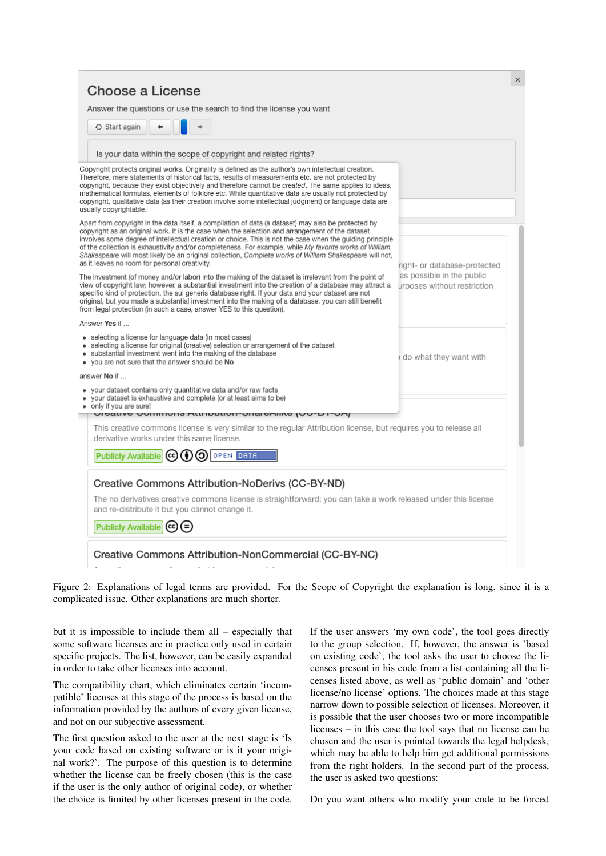| Start again                                                                                                                                                                                                                                                                                                                                                                                                                                                                                                                                                                              |                                                          |
|------------------------------------------------------------------------------------------------------------------------------------------------------------------------------------------------------------------------------------------------------------------------------------------------------------------------------------------------------------------------------------------------------------------------------------------------------------------------------------------------------------------------------------------------------------------------------------------|----------------------------------------------------------|
| Is your data within the scope of copyright and related rights?                                                                                                                                                                                                                                                                                                                                                                                                                                                                                                                           |                                                          |
| Copyright protects original works. Originality is defined as the author's own intellectual creation.<br>Therefore, mere statements of historical facts, results of measurements etc. are not protected by<br>copyright, because they exist objectively and therefore cannot be created. The same applies to ideas,<br>mathematical formulas, elements of folklore etc. While quantitative data are usually not protected by<br>copyright, qualitative data (as their creation involve some intellectual judgment) or language data are<br>usually copyrightable.                         |                                                          |
| Apart from copyright in the data itself, a compilation of data (a dataset) may also be protected by<br>copyright as an original work. It is the case when the selection and arrangement of the dataset<br>involves some degree of intellectual creation or choice. This is not the case when the guiding principle<br>of the collection is exhaustivity and/or completeness. For example, while My favorite works of William<br>Shakespeare will most likely be an original collection, Complete works of William Shakespeare will not,<br>as it leaves no room for personal creativity. | right- or database-protected                             |
| The investment (of money and/or labor) into the making of the dataset is irrelevant from the point of<br>view of copyright law; however, a substantial investment into the creation of a database may attract a<br>specific kind of protection, the sui generis database right. If your data and your dataset are not<br>original, but you made a substantial investment into the making of a database, you can still benefit<br>from legal protection (in such a case, answer YES to this question).                                                                                    | as possible in the public<br>urposes without restriction |
| Answer Yes if                                                                                                                                                                                                                                                                                                                                                                                                                                                                                                                                                                            |                                                          |
| • selecting a license for language data (in most cases)<br>• selecting a license for original (creative) selection or arrangement of the dataset<br>• substantial investment went into the making of the database<br>. you are not sure that the answer should be No                                                                                                                                                                                                                                                                                                                     | do what they want with                                   |
| answer No if                                                                                                                                                                                                                                                                                                                                                                                                                                                                                                                                                                             |                                                          |
| • your dataset contains only quantitative data and/or raw facts<br>your dataset is exhaustive and complete (or at least aims to be)<br>• only if you are sure!<br>עוסטרו ערטען סוווחטווס אינווועטוויטווישט פאוואס                                                                                                                                                                                                                                                                                                                                                                        |                                                          |
| This creative commons license is very similar to the regular Attribution license, but requires you to release all<br>derivative works under this same license.                                                                                                                                                                                                                                                                                                                                                                                                                           |                                                          |
| Publicly Available (cc) (+) (O) OPEN DATA                                                                                                                                                                                                                                                                                                                                                                                                                                                                                                                                                |                                                          |
| Creative Commons Attribution-NoDerivs (CC-BY-ND)<br>The no derivatives creative commons license is straightforward; you can take a work released under this license<br>and re-distribute it but you cannot change it.                                                                                                                                                                                                                                                                                                                                                                    |                                                          |
| Publicly Available (cc) (=)                                                                                                                                                                                                                                                                                                                                                                                                                                                                                                                                                              |                                                          |

<span id="page-3-0"></span>Figure 2: Explanations of legal terms are provided. For the Scope of Copyright the explanation is long, since it is a complicated issue. Other explanations are much shorter.

but it is impossible to include them all – especially that some software licenses are in practice only used in certain specific projects. The list, however, can be easily expanded in order to take other licenses into account.

The compatibility chart, which eliminates certain 'incompatible' licenses at this stage of the process is based on the information provided by the authors of every given license, and not on our subjective assessment.

The first question asked to the user at the next stage is 'Is your code based on existing software or is it your original work?'. The purpose of this question is to determine whether the license can be freely chosen (this is the case if the user is the only author of original code), or whether the choice is limited by other licenses present in the code. If the user answers 'my own code', the tool goes directly to the group selection. If, however, the answer is 'based on existing code', the tool asks the user to choose the licenses present in his code from a list containing all the licenses listed above, as well as 'public domain' and 'other license/no license' options. The choices made at this stage narrow down to possible selection of licenses. Moreover, it is possible that the user chooses two or more incompatible licenses – in this case the tool says that no license can be chosen and the user is pointed towards the legal helpdesk, which may be able to help him get additional permissions from the right holders. In the second part of the process, the user is asked two questions:

Do you want others who modify your code to be forced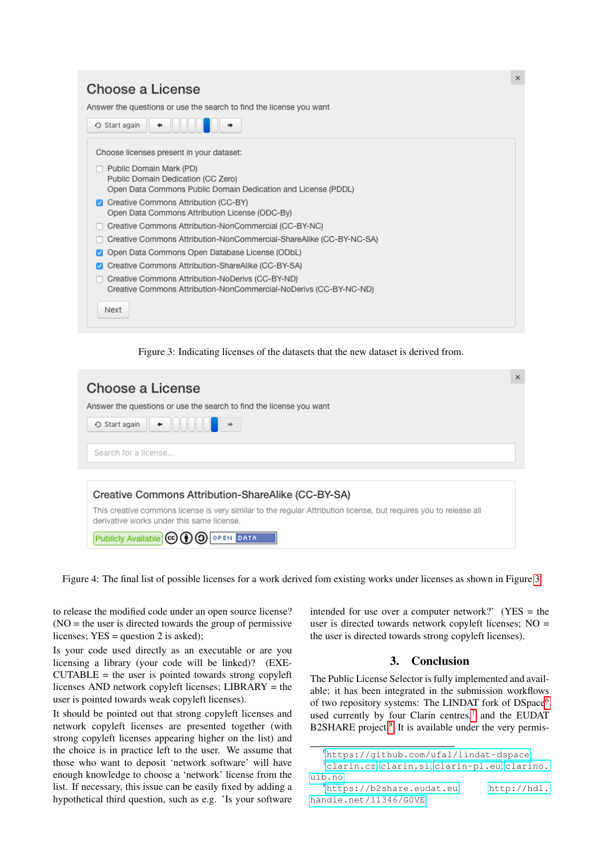# Choose a License

Answer the questions or use the search to find the license you want



<span id="page-4-0"></span>Figure 3: Indicating licenses of the datasets that the new dataset is derived from.

|                                                                                                                                                                | $\times$ |
|----------------------------------------------------------------------------------------------------------------------------------------------------------------|----------|
| Choose a License                                                                                                                                               |          |
| Answer the questions or use the search to find the license you want                                                                                            |          |
| ← Start again                                                                                                                                                  |          |
| Search for a license                                                                                                                                           |          |
|                                                                                                                                                                |          |
| Creative Commons Attribution-ShareAlike (CC-BY-SA)                                                                                                             |          |
| This creative commons license is very similar to the regular Attribution license, but requires you to release all<br>derivative works under this same license. |          |
| Publicly Available (cc)<br><b>OPEN DATA</b>                                                                                                                    |          |

<span id="page-4-1"></span>Figure 4: The final list of possible licenses for a work derived fom existing works under licenses as shown in Figure [3](#page-4-0)

to release the modified code under an open source license? (NO = the user is directed towards the group of permissive licenses; YES = question 2 is asked);

Is your code used directly as an executable or are you licensing a library (your code will be linked)? (EXE- $CUTABLE =$  the user is pointed towards strong copyleft licenses AND network copyleft licenses; LIBRARY = the user is pointed towards weak copyleft licenses).

It should be pointed out that strong copyleft licenses and network copyleft licenses are presented together (with strong copyleft licenses appearing higher on the list) and the choice is in practice left to the user. We assume that those who want to deposit 'network software' will have enough knowledge to choose a 'network' license from the list. If necessary, this issue can be easily fixed by adding a hypothetical third question, such as e.g. 'Is your software intended for use over a computer network?' (YES = the user is directed towards network copyleft licenses; NO = the user is directed towards strong copyleft licenses).

## 3. Conclusion

The Public License Selector is fully implemented and available; it has been integrated in the submission workflows of two repository systems: The LINDAT fork of DSpace[6](#page-4-2) used currently by four Clarin centres, $7$  and the EUDAT B2SHARE project.<sup>[8](#page-4-4)</sup> It is available under the very permis-

 $\times$ 

<span id="page-4-3"></span><span id="page-4-2"></span><sup>6</sup><https://github.com/ufal/lindat-dspace>

<sup>7</sup><clarin.cz>, <clarin.si>, <clarin-pl.eu>, [clarino.](clarino.uib.no) [uib.no](clarino.uib.no)

<span id="page-4-4"></span><sup>8</sup><https://b2share.eudat.eu>, [http://hdl.](http://hdl.handle.net/11346/G0VE) [handle.net/11346/G0VE](http://hdl.handle.net/11346/G0VE)